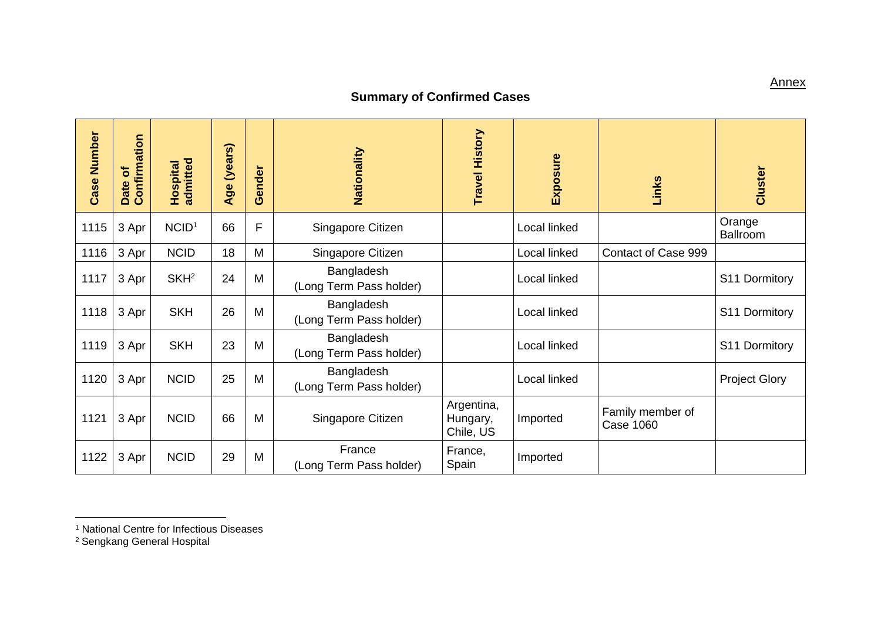## **Summary of Confirmed Cases**

| <b>Case Number</b> | Date of<br>Confirmation | <b>Hospital</b><br>admitted | Age (years) | ender<br>$\tilde{\bm{\sigma}}$ | Nationality                           | <b>Travel History</b>               | Exposure     | Links                                | Cluster              |
|--------------------|-------------------------|-----------------------------|-------------|--------------------------------|---------------------------------------|-------------------------------------|--------------|--------------------------------------|----------------------|
| 1115               | 3 Apr                   | NCID <sup>1</sup>           | 66          | F                              | Singapore Citizen                     |                                     | Local linked |                                      | Orange<br>Ballroom   |
| 1116               | 3 Apr                   | <b>NCID</b>                 | 18          | M                              | Singapore Citizen                     |                                     | Local linked | Contact of Case 999                  |                      |
| 1117               | 3 Apr                   | SKH <sup>2</sup>            | 24          | M                              | Bangladesh<br>(Long Term Pass holder) |                                     | Local linked |                                      | S11 Dormitory        |
| 1118               | 3 Apr                   | <b>SKH</b>                  | 26          | M                              | Bangladesh<br>(Long Term Pass holder) |                                     | Local linked |                                      | S11 Dormitory        |
| 1119               | 3 Apr                   | <b>SKH</b>                  | 23          | M                              | Bangladesh<br>(Long Term Pass holder) |                                     | Local linked |                                      | S11 Dormitory        |
| 1120               | 3 Apr                   | <b>NCID</b>                 | 25          | M                              | Bangladesh<br>(Long Term Pass holder) |                                     | Local linked |                                      | <b>Project Glory</b> |
| 1121               | 3 Apr                   | <b>NCID</b>                 | 66          | M                              | Singapore Citizen                     | Argentina,<br>Hungary,<br>Chile, US | Imported     | Family member of<br><b>Case 1060</b> |                      |
| 1122               | 3 Apr                   | <b>NCID</b>                 | 29          | M                              | France<br>(Long Term Pass holder)     | France,<br>Spain                    | Imported     |                                      |                      |

 $\overline{a}$ 

**Annex** 

<sup>1</sup> National Centre for Infectious Diseases

<sup>2</sup> Sengkang General Hospital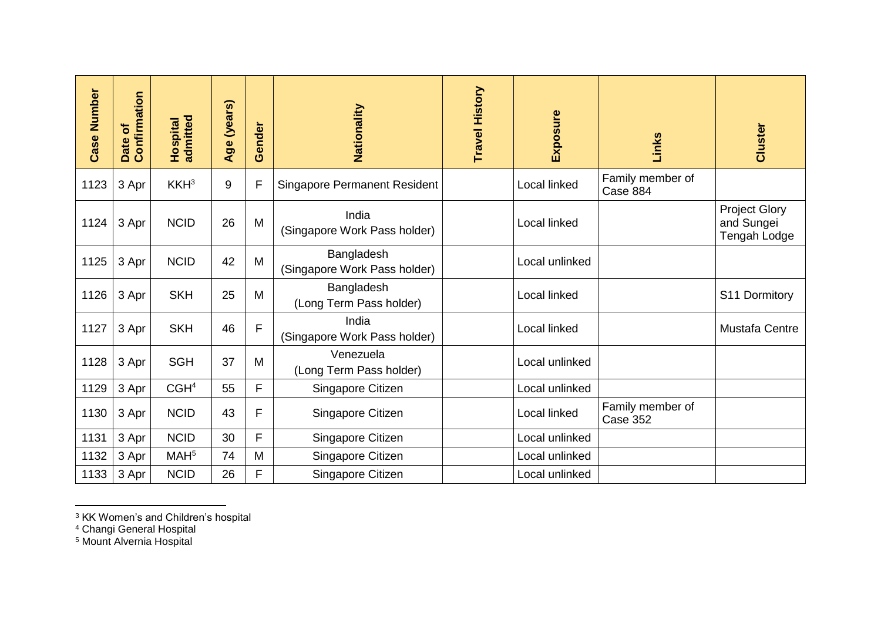| <b>Case Number</b> | Date of<br>Confirmation | Hospital<br>admitted | Age (years) | Gender | Nationality                                | <b>Travel History</b> | Exposure       | Links                        | Cluster                                            |
|--------------------|-------------------------|----------------------|-------------|--------|--------------------------------------------|-----------------------|----------------|------------------------------|----------------------------------------------------|
| 1123               | 3 Apr                   | KKH <sup>3</sup>     | 9           | F      | <b>Singapore Permanent Resident</b>        |                       | Local linked   | Family member of<br>Case 884 |                                                    |
| 1124               | 3 Apr                   | <b>NCID</b>          | 26          | M      | India<br>(Singapore Work Pass holder)      |                       | Local linked   |                              | <b>Project Glory</b><br>and Sungei<br>Tengah Lodge |
| 1125               | 3 Apr                   | <b>NCID</b>          | 42          | M      | Bangladesh<br>(Singapore Work Pass holder) |                       | Local unlinked |                              |                                                    |
| 1126               | 3 Apr                   | <b>SKH</b>           | 25          | M      | Bangladesh<br>(Long Term Pass holder)      |                       | Local linked   |                              | S11 Dormitory                                      |
| 1127               | 3 Apr                   | <b>SKH</b>           | 46          | F      | India<br>(Singapore Work Pass holder)      |                       | Local linked   |                              | <b>Mustafa Centre</b>                              |
| 1128               | 3 Apr                   | <b>SGH</b>           | 37          | M      | Venezuela<br>(Long Term Pass holder)       |                       | Local unlinked |                              |                                                    |
| 1129               | 3 Apr                   | CGH <sup>4</sup>     | 55          | F      | Singapore Citizen                          |                       | Local unlinked |                              |                                                    |
| 1130               | 3 Apr                   | <b>NCID</b>          | 43          | F      | Singapore Citizen                          |                       | Local linked   | Family member of<br>Case 352 |                                                    |
| 1131               | 3 Apr                   | <b>NCID</b>          | 30          | F      | Singapore Citizen                          |                       | Local unlinked |                              |                                                    |
| 1132               | 3 Apr                   | MAH <sup>5</sup>     | 74          | M      | Singapore Citizen                          |                       | Local unlinked |                              |                                                    |
| 1133               | 3 Apr                   | <b>NCID</b>          | 26          | F      | Singapore Citizen                          |                       | Local unlinked |                              |                                                    |

<sup>3</sup> KK Women's and Children's hospital

<sup>4</sup> Changi General Hospital

 $\overline{a}$ 

<sup>5</sup> Mount Alvernia Hospital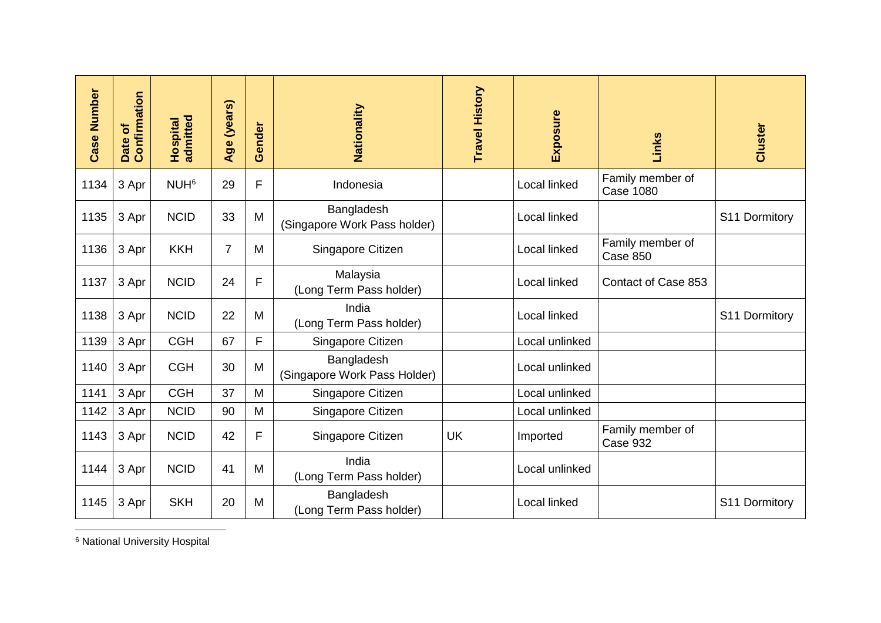| <b>Case Number</b> | Date of<br>Confirmation | <b>Hospital</b><br>admitted | Age (years)    | Gender | Nationality                                | Travel History | Exposure       | Links                                | Cluster       |
|--------------------|-------------------------|-----------------------------|----------------|--------|--------------------------------------------|----------------|----------------|--------------------------------------|---------------|
| 1134               | 3 Apr                   | NUH <sup>6</sup>            | 29             | F      | Indonesia                                  |                | Local linked   | Family member of<br><b>Case 1080</b> |               |
| 1135               | 3 Apr                   | <b>NCID</b>                 | 33             | M      | Bangladesh<br>(Singapore Work Pass holder) |                | Local linked   |                                      | S11 Dormitory |
| 1136               | 3 Apr                   | <b>KKH</b>                  | $\overline{7}$ | M      | Singapore Citizen                          |                | Local linked   | Family member of<br>Case 850         |               |
| 1137               | 3 Apr                   | <b>NCID</b>                 | 24             | F      | Malaysia<br>(Long Term Pass holder)        |                | Local linked   | Contact of Case 853                  |               |
| 1138               | 3 Apr                   | <b>NCID</b>                 | 22             | M      | India<br>(Long Term Pass holder)           |                | Local linked   |                                      | S11 Dormitory |
| 1139               | 3 Apr                   | <b>CGH</b>                  | 67             | F      | Singapore Citizen                          |                | Local unlinked |                                      |               |
| 1140               | 3 Apr                   | <b>CGH</b>                  | 30             | M      | Bangladesh<br>(Singapore Work Pass Holder) |                | Local unlinked |                                      |               |
| 1141               | 3 Apr                   | <b>CGH</b>                  | 37             | M      | Singapore Citizen                          |                | Local unlinked |                                      |               |
| 1142               | 3 Apr                   | <b>NCID</b>                 | 90             | M      | Singapore Citizen                          |                | Local unlinked |                                      |               |
| 1143               | 3 Apr                   | <b>NCID</b>                 | 42             | F      | Singapore Citizen                          | <b>UK</b>      | Imported       | Family member of<br>Case 932         |               |
| 1144               | 3 Apr                   | <b>NCID</b>                 | 41             | M      | India<br>(Long Term Pass holder)           |                | Local unlinked |                                      |               |
| 1145               | 3 Apr                   | <b>SKH</b>                  | 20             | M      | Bangladesh<br>(Long Term Pass holder)      |                | Local linked   |                                      | S11 Dormitory |

 $\overline{a}$ <sup>6</sup> National University Hospital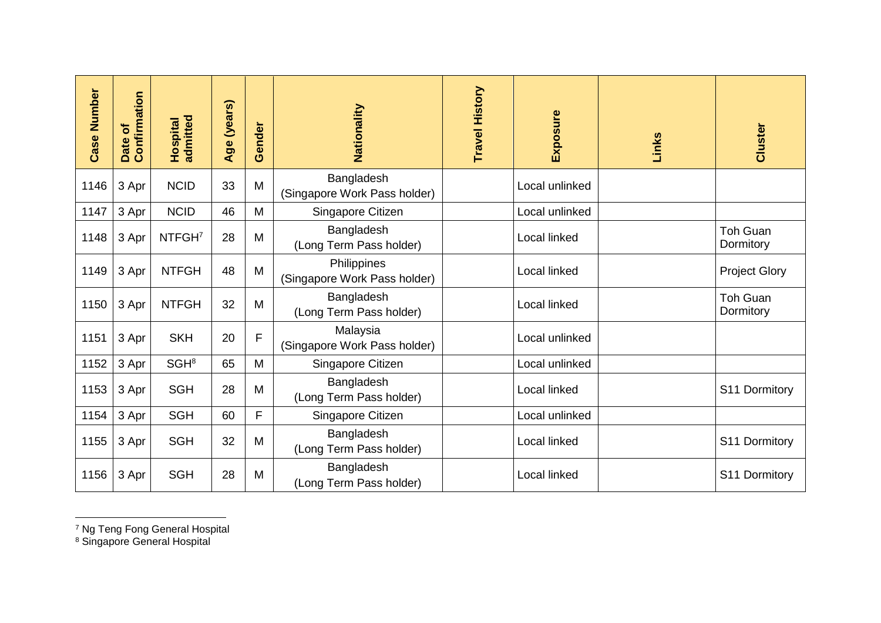| <b>Case Number</b> | Date of<br>Confirmation | <b>Hospital</b><br>admitted | Age (years) | Gender | Nationality                                 | <b>Travel History</b> | Exposure       | Links | Cluster                      |
|--------------------|-------------------------|-----------------------------|-------------|--------|---------------------------------------------|-----------------------|----------------|-------|------------------------------|
| 1146               | 3 Apr                   | <b>NCID</b>                 | 33          | M      | Bangladesh<br>(Singapore Work Pass holder)  |                       | Local unlinked |       |                              |
| 1147               | 3 Apr                   | <b>NCID</b>                 | 46          | M      | Singapore Citizen                           |                       | Local unlinked |       |                              |
| 1148               | 3 Apr                   | NTFGH <sup>7</sup>          | 28          | M      | Bangladesh<br>(Long Term Pass holder)       |                       | Local linked   |       | <b>Toh Guan</b><br>Dormitory |
| 1149               | 3 Apr                   | <b>NTFGH</b>                | 48          | M      | Philippines<br>(Singapore Work Pass holder) |                       | Local linked   |       | <b>Project Glory</b>         |
| 1150               | 3 Apr                   | <b>NTFGH</b>                | 32          | M      | Bangladesh<br>(Long Term Pass holder)       |                       | Local linked   |       | <b>Toh Guan</b><br>Dormitory |
| 1151               | 3 Apr                   | <b>SKH</b>                  | 20          | F      | Malaysia<br>(Singapore Work Pass holder)    |                       | Local unlinked |       |                              |
| 1152               | 3 Apr                   | SGH <sup>8</sup>            | 65          | M      | Singapore Citizen                           |                       | Local unlinked |       |                              |
| 1153               | 3 Apr                   | <b>SGH</b>                  | 28          | M      | Bangladesh<br>(Long Term Pass holder)       |                       | Local linked   |       | S11 Dormitory                |
| 1154               | 3 Apr                   | <b>SGH</b>                  | 60          | F      | Singapore Citizen                           |                       | Local unlinked |       |                              |
| 1155               | 3 Apr                   | <b>SGH</b>                  | 32          | M      | Bangladesh<br>(Long Term Pass holder)       |                       | Local linked   |       | S11 Dormitory                |
| 1156               | 3 Apr                   | <b>SGH</b>                  | 28          | M      | Bangladesh<br>(Long Term Pass holder)       |                       | Local linked   |       | S11 Dormitory                |

 $\overline{a}$ <sup>7</sup> Ng Teng Fong General Hospital

<sup>8</sup> Singapore General Hospital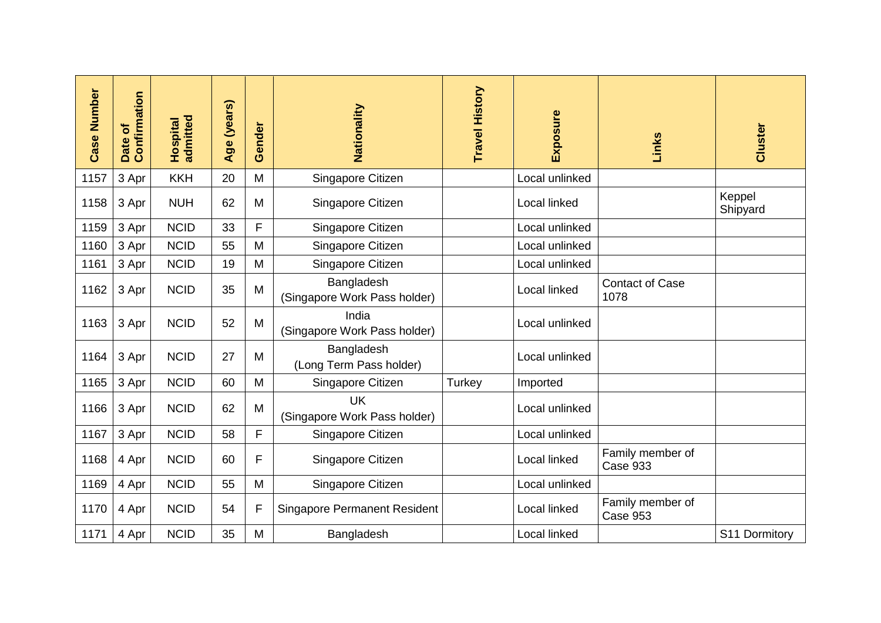| <b>Case Number</b> | Date of<br>Confirmation | admitted<br>Hospital | Age (years) | Gender | Nationality                                | Travel History | Exposure            | Links                               | Cluster            |
|--------------------|-------------------------|----------------------|-------------|--------|--------------------------------------------|----------------|---------------------|-------------------------------------|--------------------|
| 1157               | 3 Apr                   | <b>KKH</b>           | 20          | M      | Singapore Citizen                          |                | Local unlinked      |                                     |                    |
| 1158               | 3 Apr                   | <b>NUH</b>           | 62          | M      | Singapore Citizen                          |                | Local linked        |                                     | Keppel<br>Shipyard |
| 1159               | 3 Apr                   | <b>NCID</b>          | 33          | F      | Singapore Citizen                          |                | Local unlinked      |                                     |                    |
| 1160               | 3 Apr                   | <b>NCID</b>          | 55          | M      | Singapore Citizen                          |                | Local unlinked      |                                     |                    |
| 1161               | 3 Apr                   | <b>NCID</b>          | 19          | M      | Singapore Citizen                          |                | Local unlinked      |                                     |                    |
| 1162               | 3 Apr                   | <b>NCID</b>          | 35          | M      | Bangladesh<br>(Singapore Work Pass holder) |                | Local linked        | <b>Contact of Case</b><br>1078      |                    |
| 1163               | 3 Apr                   | <b>NCID</b>          | 52          | M      | India<br>(Singapore Work Pass holder)      |                | Local unlinked      |                                     |                    |
| 1164               | 3 Apr                   | <b>NCID</b>          | 27          | M      | Bangladesh<br>(Long Term Pass holder)      |                | Local unlinked      |                                     |                    |
| 1165               | 3 Apr                   | <b>NCID</b>          | 60          | M      | Singapore Citizen                          | Turkey         | Imported            |                                     |                    |
| 1166               | 3 Apr                   | <b>NCID</b>          | 62          | M      | <b>UK</b><br>(Singapore Work Pass holder)  |                | Local unlinked      |                                     |                    |
| 1167               | 3 Apr                   | <b>NCID</b>          | 58          | F      | Singapore Citizen                          |                | Local unlinked      |                                     |                    |
| 1168               | 4 Apr                   | <b>NCID</b>          | 60          | F      | Singapore Citizen                          |                | Local linked        | Family member of<br>Case 933        |                    |
| 1169               | 4 Apr                   | <b>NCID</b>          | 55          | M      | Singapore Citizen                          |                | Local unlinked      |                                     |                    |
| 1170               | 4 Apr                   | <b>NCID</b>          | 54          | F      | <b>Singapore Permanent Resident</b>        |                | <b>Local linked</b> | Family member of<br><b>Case 953</b> |                    |
| 1171               | 4 Apr                   | <b>NCID</b>          | 35          | M      | Bangladesh                                 |                | Local linked        |                                     | S11 Dormitory      |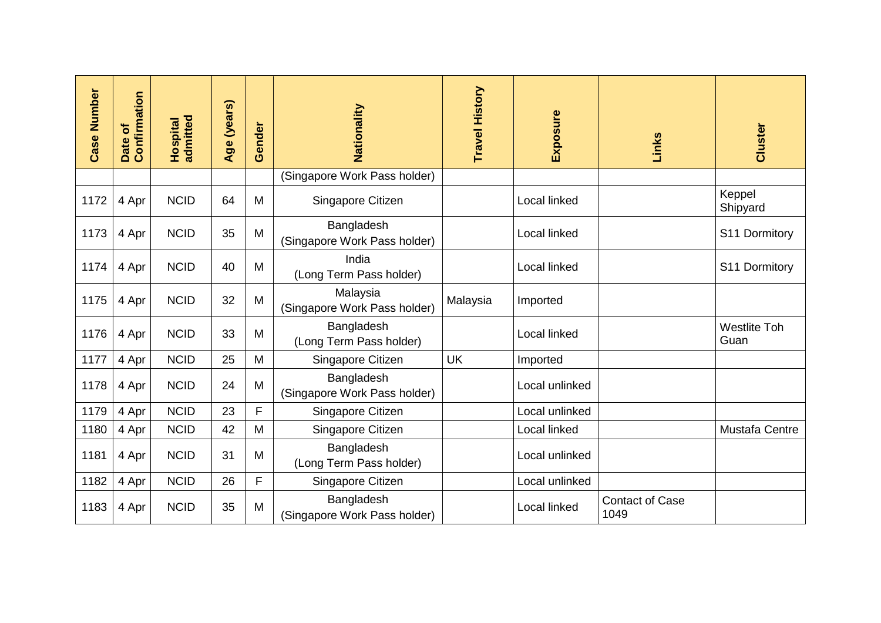| Case Number | Date of<br>Confirmation | <b>Hospital</b><br>admitted | Age (years) | Gender | Nationality                                | <b>Travel History</b> | Exposure       | Links                          | Cluster                     |
|-------------|-------------------------|-----------------------------|-------------|--------|--------------------------------------------|-----------------------|----------------|--------------------------------|-----------------------------|
|             |                         |                             |             |        | (Singapore Work Pass holder)               |                       |                |                                |                             |
| 1172        | 4 Apr                   | <b>NCID</b>                 | 64          | M      | Singapore Citizen                          |                       | Local linked   |                                | Keppel<br>Shipyard          |
| 1173        | 4 Apr                   | <b>NCID</b>                 | 35          | M      | Bangladesh<br>(Singapore Work Pass holder) |                       | Local linked   |                                | S11 Dormitory               |
| 1174        | 4 Apr                   | <b>NCID</b>                 | 40          | M      | India<br>(Long Term Pass holder)           |                       | Local linked   |                                | S11 Dormitory               |
| 1175        | 4 Apr                   | <b>NCID</b>                 | 32          | M      | Malaysia<br>(Singapore Work Pass holder)   | Malaysia              | Imported       |                                |                             |
| 1176        | 4 Apr                   | <b>NCID</b>                 | 33          | M      | Bangladesh<br>(Long Term Pass holder)      |                       | Local linked   |                                | <b>Westlite Toh</b><br>Guan |
| 1177        | 4 Apr                   | <b>NCID</b>                 | 25          | M      | Singapore Citizen                          | <b>UK</b>             | Imported       |                                |                             |
| 1178        | 4 Apr                   | <b>NCID</b>                 | 24          | M      | Bangladesh<br>(Singapore Work Pass holder) |                       | Local unlinked |                                |                             |
| 1179        | 4 Apr                   | <b>NCID</b>                 | 23          | F      | Singapore Citizen                          |                       | Local unlinked |                                |                             |
| 1180        | 4 Apr                   | <b>NCID</b>                 | 42          | M      | Singapore Citizen                          |                       | Local linked   |                                | Mustafa Centre              |
| 1181        | 4 Apr                   | <b>NCID</b>                 | 31          | M      | Bangladesh<br>(Long Term Pass holder)      |                       | Local unlinked |                                |                             |
| 1182        | 4 Apr                   | <b>NCID</b>                 | 26          | F      | Singapore Citizen                          |                       | Local unlinked |                                |                             |
| 1183        | 4 Apr                   | <b>NCID</b>                 | 35          | M      | Bangladesh<br>(Singapore Work Pass holder) |                       | Local linked   | <b>Contact of Case</b><br>1049 |                             |